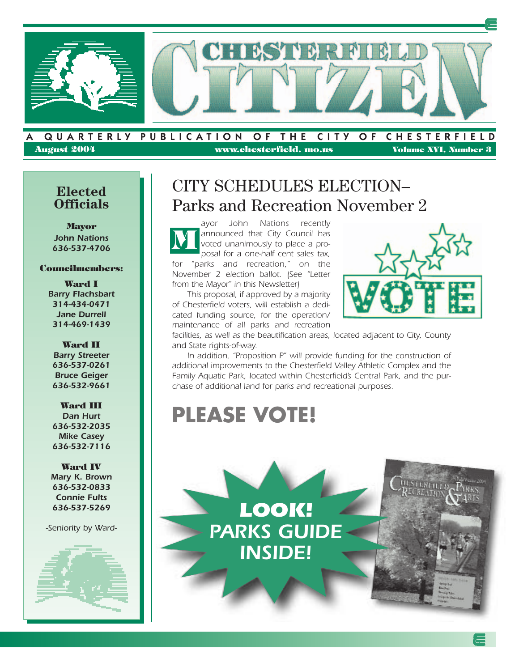

**August 2004 www.chesterfield. mo.us Volume XVI, Number 3**

## **Elected Officials**

**Mayor** *John Nations 636-537-4706*

### **Councilmembers:**

**Ward I** *Barry Flachsbart 314-434-0471 Jane Durrell 314-469-1439*

#### **Ward II** *Barry Streeter 636-537-0261 Bruce Geiger 636-532-9661*

**Ward III** *Dan Hurt 636-532-2035 Mike Casey 636-532-7116*

**Ward IV** *Mary K. Brown 636-532-0833 Connie Fults 636-537-5269*

*-Seniority by Ward-*



# CITY SCHEDULES ELECTION– Parks and Recreation November 2

*ayor John Nations recently announced that City Council has voted unanimously to place a proposal for a one-half cent sales tax, for "parks and recreation," on the November 2 election ballot. (See "Letter from the Mayor" in this Newsletter)*  **M**

*This proposal, if approved by a majority of Chesterfield voters, will establish a dedicated funding source, for the operation/ maintenance of all parks and recreation*



*facilities, as well as the beautification areas, located adjacent to City, County and State rights-of-way.* 

*In addition, "Proposition P" will provide funding for the construction of additional improvements to the Chesterfield Valley Athletic Complex and the Family Aquatic Park, located within Chesterfield's Central Park, and the purchase of additional land for parks and recreational purposes.* 

# **PLEASE VOTE!**

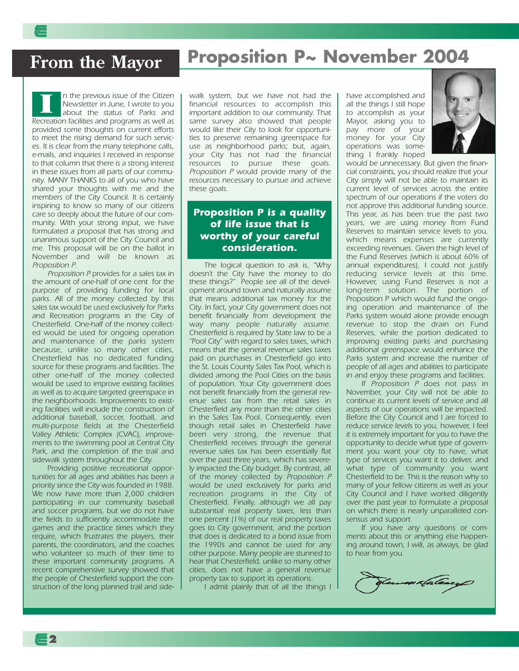## **From the Mayor**

# **Proposition P~ November 2004**

*n the previous issue of the Citizen Newsletter in June, I wrote to you about the status of Parks and Recreation facilities and programs as well as provided some thoughts on current efforts to meet the rising demand for such services. It is clear from the many telephone calls, e-mails, and inquiries I received in response to that column that there is a strong interest in these issues from all parts of our community. MANY THANKS to all of you who have shared your thoughts with me and the members of the City Council. It is certainly inspiring to know so many of our citizens care so deeply about the future of our community. With your strong input, we have formulated a proposal that has strong and unanimous support of the City Council and me. This proposal will be on the ballot in November and will be known as Proposition P.* **I**

*Proposition P provides for a sales tax in the amount of one-half of one cent for the purpose of providing funding for local parks. All of the money collected by this sales tax would be used exclusively for Parks and Recreation programs in the City of Chesterfield. One-half of the money collected would be used for ongoing operation and maintenance of the parks system because, unlike so many other cities, Chesterfield has no dedicated funding source for these programs and facilities. The other one-half of the money collected would be used to improve existing facilities as well as to acquire targeted greenspace in the neighborhoods. Improvements to existing facilities will include the construction of additional baseball, soccer, football, and multi-purpose fields at the Chesterfield Valley Athletic Complex (CVAC), improvements to the swimming pool at Central City Park, and the completion of the trail and sidewalk system throughout the City.*

*Providing positive recreational opportunities for all ages and abilities has been a priority since the City was founded in 1988. We now have more than 2,000 children participating in our community baseball and soccer programs, but we do not have the fields to sufficiently accommodate the games and the practice times which they require, which frustrates the players, their parents, the coordinators, and the coaches who volunteer so much of their time to these important community programs. A recent comprehensive survey showed that the people of Chesterfield support the construction of the long planned trail and side-* *walk system, but we have not had the financial resources to accomplish this important addition to our community. That same survey also showed that people would like their City to look for opportunities to preserve remaining greenspace for use as neighborhood parks; but, again, your City has not had the financial resources to pursue these goals. Proposition P would provide many of the resources necessary to pursue and achieve these goals.*

### *Proposition P is a quality of life issue that is worthy of your careful consideration.*

*The logical question to ask is, "Why doesn't the City have the money to do these things?" People see all of the development around town and naturally assume that means additional tax money for the City. In fact, your City government does not benefit financially from development the way many people naturally assume. Chesterfield is required by State law to be a "Pool City" with regard to sales taxes, which means that the general revenue sales taxes paid on purchases in Chesterfield go into the St. Louis County Sales Tax Pool, which is divided among the Pool Cities on the basis of population. Your City government does not benefit financially from the general revenue sales tax from the retail sales in Chesterfield any more than the other cities in the Sales Tax Pool. Consequently, even though retail sales in Chesterfield have been very strong, the revenue that Chesterfield receives through the general revenue sales tax has been essentially flat over the past three years, which has severely impacted the City budget. By contrast, all of the money collected by Proposition P would be used exclusively for parks and recreation programs in the City of Chesterfield. Finally, although we all pay substantial real property taxes, less than one percent (1%) of our real property taxes goes to City government, and the portion that does is dedicated to a bond issue from the 1990's and cannot be used for any other purpose. Many people are stunned to hear that Chesterfield, unlike so many other cities, does not have a general revenue property tax to support its operations.*

*I admit plainly that of all the things I*

*have accomplished and all the things I still hope to accomplish as your Mayor, asking you to pay more of your money for your City operations was something I frankly hoped*



*would be unnecessary. But given the financial constraints, you should realize that your City simply will not be able to maintain its current level of services across the entire spectrum of our operations if the voters do not approve this additional funding source. This year, as has been true the past two years, we are using money from Fund Reserves to maintain service levels to you, which means expenses are currently exceeding revenues. Given the high level of the Fund Reserves (which is about 60% of annual expenditures), I could not justify reducing service levels at this time. However, using Fund Reserves is not a long-term solution. The portion of Proposition P which would fund the ongoing operation and maintenance of the Parks system would alone provide enough revenue to stop the drain on Fund Reserves, while the portion dedicated to improving existing parks and purchasing additional greenspace would enhance the Parks system and increase the number of people of all ages and abilities to participate in and enjoy these programs and facilities.*

*If Proposition P does not pass in November, your City will not be able to continue its current levels of service and all aspects of our operations will be impacted. Before the City Council and I are forced to reduce service levels to you, however, I feel it is extremely important for you to have the opportunity to decide what type of government you want your city to have, what type of services you want it to deliver, and what type of community you want Chesterfield to be. This is the reason why so many of your fellow citizens as well as your City Council and I have worked diligently over the past year to formulate a proposal on which there is nearly unparalleled consensus and support.* 

*If you have any questions or comments about this or anything else happening around town, I will, as always, be glad to hear from you.*

flowmarfalany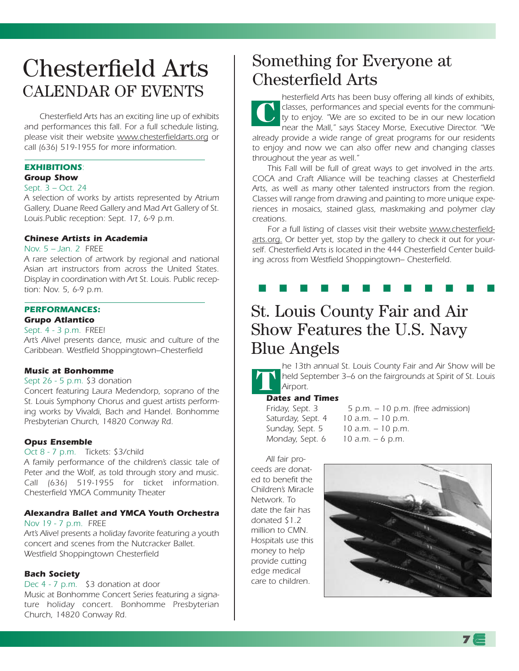# Chesterfield Arts CALENDAR OF EVENTS

*Chesterfield Arts has an exciting line up of exhibits and performances this fall. For a full schedule listing, please visit their website www.chesterfieldarts.org or call (636) 519-1955 for more information.*

#### *EXHIBITIONS: Group Show*

## *Sept. 3 – Oct. 24*

*A selection of works by artists represented by Atrium Gallery, Duane Reed Gallery and Mad Art Gallery of St. Louis.Public reception: Sept. 17, 6-9 p.m.* 

#### *Chinese Artists in Academia*

#### *Nov. 5 – Jan. 2 FREE*

*A rare selection of artwork by regional and national Asian art instructors from across the United States. Display in coordination with Art St. Louis. Public reception: Nov. 5, 6-9 p.m.* 

## *PERFORMANCES:*

### *Grupo Atlantico*

*Sept. 4 - 3 p.m. FREE!*

*Art's Alive! presents dance, music and culture of the Caribbean. Westfield Shoppingtown–Chesterfield* 

#### *Music at Bonhomme*

#### *Sept 26 - 5 p.m. \$3 donation*

*Concert featuring Laura Medendorp, soprano of the St. Louis Symphony Chorus and guest artists performing works by Vivaldi, Bach and Handel. Bonhomme Presbyterian Church, 14820 Conway Rd.*

#### *Opus Ensemble*

#### *Oct 8 - 7 p.m. Tickets: \$3/child*

*A family performance of the children's classic tale of Peter and the Wolf, as told through story and music. Call (636) 519-1955 for ticket information. Chesterfield YMCA Community Theater*

### *Alexandra Ballet and YMCA Youth Orchestra*

#### *Nov 19 - 7 p.m. FREE*

*Art's Alive! presents a holiday favorite featuring a youth concert and scenes from the Nutcracker Ballet. Westfield Shoppingtown Chesterfield*

### *Bach Society*

*Dec 4 - 7 p.m. \$3 donation at door Music at Bonhomme Concert Series featuring a signature holiday concert. Bonhomme Presbyterian Church, 14820 Conway Rd.*

## Something for Everyone at Chesterfield Arts

*hesterfield Arts has been busy offering all kinds of exhibits, classes, performances and special events for the community to enjoy. "We are so excited to be in our new location near the Mall," says Stacey Morse, Executive Director. "We already provide a wide range of great programs for our residents to enjoy and now we can also offer new and changing classes throughout the year as well."* **C**

*This Fall will be full of great ways to get involved in the arts. COCA and Craft Alliance will be teaching classes at Chesterfield Arts, as well as many other talented instructors from the region. Classes will range from drawing and painting to more unique experiences in mosaics, stained glass, maskmaking and polymer clay creations.* 

*For a full listing of classes visit their website www.chesterfieldarts.org. Or better yet, stop by the gallery to check it out for yourself. Chesterfield Arts is located in the 444 Chesterfield Center building across from Westfield Shoppingtown– Chesterfield.*

### ■ ■ ■ ■ ■ ■ ■ ■ ■ ■ ■ ■

## St. Louis County Fair and Air Show Features the U.S. Navy Blue Angels

*he 13th annual St. Louis County Fair and Air Show will be held September 3–6 on the fairgrounds at Spirit of St. Louis Airport.* **T**

### *Dates and Times*

*Monday, Sept. 6 10 a.m. – 6 p.m.*

*Friday, Sept. 3 5 p.m. – 10 p.m. (free admission) Saturday, Sept. 4 10 a.m. – 10 p.m. Sunday, Sept. 5 10 a.m. – 10 p.m.*

*All fair proceeds are donated to benefit the Children's Miracle Network. To date the fair has donated \$1.2 million to CMN. Hospitals use this money to help provide cutting edge medical care to children.*



**7**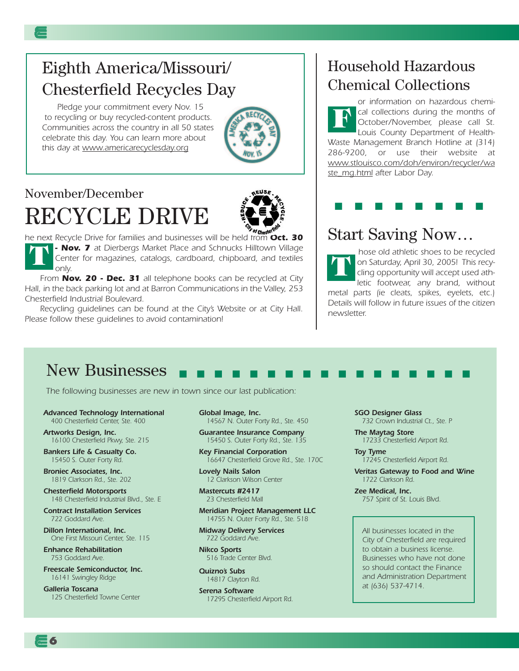## Eighth America/Missouri/ Chesterfield Recycles Day

*Pledge your commitment every Nov. 15 to recycling or buy recycled-content products. Communities across the country in all 50 states celebrate this day. You can learn more about this day at www.americarecyclesday.org*



# November/December RECYCLE DRIVE



*he next Recycle Drive for families and businesses will be held from Oct. 30 - Nov. 7 at Dierbergs Market Place and Schnucks Hilltown Village Center for magazines, catalogs, cardboard, chipboard, and textiles only.* **T**

*From Nov. 20 - Dec. 31 all telephone books can be recycled at City Hall, in the back parking lot and at Barron Communications in the Valley, 253 Chesterfield Industrial Boulevard.*

*Recycling guidelines can be found at the City's Website or at City Hall. Please follow these guidelines to avoid contamination!*

## Household Hazardous Chemical Collections

*or information on hazardous chemical collections during the months of October/November, please call St. Louis County Department of Health-Waste Management Branch Hotline at (314) 286-9200, or use their website at www.stlouisco.com/doh/environ/recycler/wa ste\_mg.html after Labor Day.*  **F**

### ■ ■ ■ ■ ■ ■ ■ ■

## Start Saving Now…

*hose old athletic shoes to be recycled on Saturday, April 30, 2005! This recycling opportunity will accept used athletic footwear, any brand, without metal parts (ie cleats, spikes, eyelets, etc.) Details will follow in future issues of the citizen newsletter.* **T**

#### New Businesses ■ ■ ■ ■ ■ ■ ■ ■ ■ ■ ■ ■ ■ ■ ■ ■ ■

*The following businesses are new in town since our last publication:*

*Advanced Technology International 400 Chesterfield Center, Ste. 400*

*Artworks Design, Inc. 16100 Chesterfield Pkwy, Ste. 215*

*Bankers Life & Casualty Co. 15450 S. Outer Forty Rd.*

*Broniec Associates, Inc. 1819 Clarkson Rd., Ste. 202*

*Chesterfield Motorsports 148 Chesterfield Industrial Blvd., Ste. E*

*Contract Installation Services 722 Goddard Ave.*

*Dillon International, Inc. One First Missouri Center, Ste. 115*

*Enhance Rehabilitation 753 Goddard Ave.*

**6**

*Freescale Semiconductor, Inc. 16141 Swingley Ridge* 

*Galleria Toscana 125 Chesterfield Towne Center* *Global Image, Inc. 14567 N. Outer Forty Rd., Ste. 450*

*Guarantee Insurance Company 15450 S. Outer Forty Rd., Ste. 135*

*Key Financial Corporation 16647 Chesterfield Grove Rd., Ste. 170C*

*Lovely Nails Salon 12 Clarkson Wilson Center*

*Mastercuts #2417 23 Chesterfield Mall*

*Meridian Project Management LLC 14755 N. Outer Forty Rd., Ste. 518*

*Midway Delivery Services 722 Goddard Ave.*

*Nikco Sports 516 Trade Center Blvd.*

*Quizno's Subs 14817 Clayton Rd.*

*Serena Software 17295 Chesterfield Airport Rd.* *SGO Designer Glass 732 Crown Industrial Ct., Ste. P*

*The Maytag Store 17233 Chesterfield Airport Rd.*

*Toy Tyme 17245 Chesterfield Airport Rd.*

*Veritas Gateway to Food and Wine 1722 Clarkson Rd.*

*Zee Medical, Inc. 757 Spirit of St. Louis Blvd.*

*All businesses located in the City of Chesterfield are required to obtain a business license. Businesses who have not done so should contact the Finance and Administration Department at (636) 537-4714.*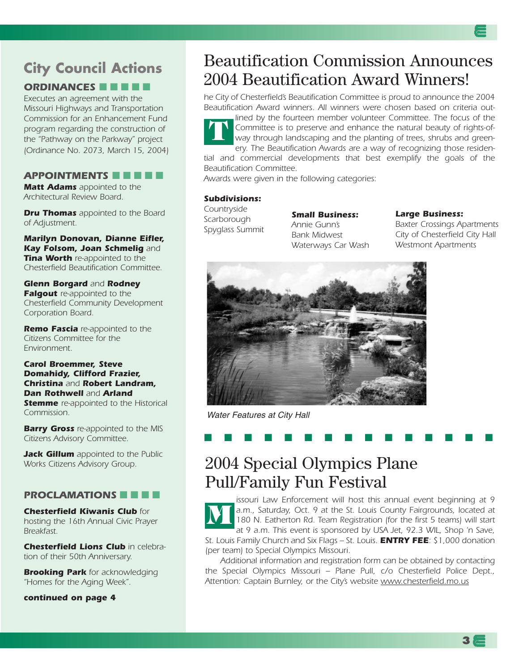# **City Council Actions**

### *ORDINANCES* ■ ■ ■ ■ ■

*Executes an agreement with the Missouri Highways and Transportation Commission for an Enhancement Fund program regarding the construction of the "Pathway on the Parkway" project (Ordinance No. 2073, March 15, 2004)*

### *APPOINTMENTS* ■ ■ ■ ■ ■

*Matt Adams appointed to the Architectural Review Board.*

*Dru Thomas appointed to the Board of Adjustment.*

*Marilyn Donovan, Dianne Eifler, Kay Folsom, Joan Schmelig and Tina Worth re-appointed to the Chesterfield Beautification Committee.*

#### *Glenn Borgard and Rodney Falgout re-appointed to the*

*Chesterfield Community Development Corporation Board.*

*Remo Fascia re-appointed to the Citizens Committee for the Environment.*

#### *Carol Broemmer, Steve Domahidy, Clifford Frazier, Christina and Robert Landram, Dan Rothwell and Arland Stemme re-appointed to the Historical*

*Commission.*

*Barry Gross re-appointed to the MIS Citizens Advisory Committee.*

*Jack Gillum appointed to the Public Works Citizens Advisory Group.*

### *PROCLAMATIONS* ■ ■ ■ ■

*Chesterfield Kiwanis Club for hosting the 16th Annual Civic Prayer Breakfast.* 

*Chesterfield Lions Club in celebration of their 50th Anniversary.* 

*Brooking Park for acknowledging "Homes for the Aging Week".*

*continued on page 4*

## Beautification Commission Announces 2004 Beautification Award Winners!

*he City of Chesterfield's Beautification Committee is proud to announce the 2004 Beautification Award winners. All winners were chosen based on criteria out-*

*lined by the fourteen member volunteer Committee. The focus of the Committee is to preserve and enhance the natural beauty of rights-ofway through landscaping and the planting of trees, shrubs and greenery. The Beautification Awards are a way of recognizing those residen-***T**

*tial and commercial developments that best exemplify the goals of the Beautification Committee.*

*Awards were given in the following categories:*

#### *Subdivisions:*

*Countryside Scarborough Spyglass Summit*

*Small Business: Annie Gunn's Bank Midwest Waterways Car Wash*

#### *Large Business:*

*Baxter Crossings Apartments City of Chesterfield City Hall Westmont Apartments*



Water Features at City Hall

### ■ ■ ■ ■ ■ ■ ■ ■ ■ ■ ■ ■ ■ ■ ■

## 2004 Special Olympics Plane Pull/Family Fun Festival

*issouri Law Enforcement will host this annual event beginning at 9 a.m., Saturday, Oct. 9 at the St. Louis County Fairgrounds, located at 180 N. Eatherton Rd. Team Registration (for the first 5 teams) will start at 9 a.m. This event is sponsored by USA Jet, 92.3 WIL, Shop 'n Save, St. Louis Family Church and Six Flags – St. Louis. ENTRY FEE: \$1,000 donation (per team) to Special Olympics Missouri.* **M**

*Additional information and registration form can be obtained by contacting the Special Olympics Missouri – Plane Pull, c/o Chesterfield Police Dept., Attention: Captain Burnley, or the City's website www.chesterfield.mo.us*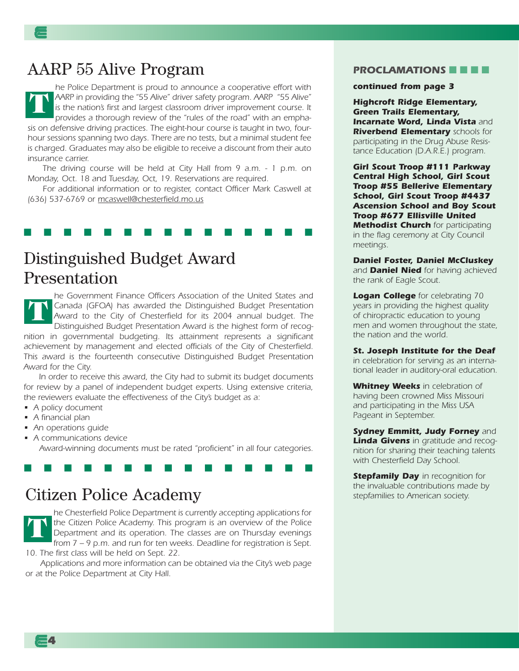## AARP 55 Alive Program

*he Police Department is proud to announce a cooperative effort with AARP in providing the "55 Alive" driver safety program. AARP "55 Alive" is the nation's first and largest classroom driver improvement course. It provides a thorough review of the "rules of the road" with an emphasis on defensive driving practices. The eight-hour course is taught in two, fourhour sessions spanning two days. There are no tests, but a minimal student fee is charged. Graduates may also be eligible to receive a discount from their auto insurance carrier.* **T**

*The driving course will be held at City Hall from 9 a.m. - 1 p.m. on Monday, Oct. 18 and Tuesday, Oct, 19. Reservations are required.*

*For additional information or to register, contact Officer Mark Caswell at (636) 537-6769 or mcaswell@chesterfield.mo.us*

### ■ ■ ■ ■ ■ ■ ■ ■ ■ ■ ■ ■ ■ ■ ■

## Distinguished Budget Award Presentation

*he Government Finance Officers Association of the United States and Canada (GFOA) has awarded the Distinguished Budget Presentation Award to the City of Chesterfield for its 2004 annual budget. The Distinguished Budget Presentation Award is the highest form of recognition in governmental budgeting. Its attainment represents a significant achievement by management and elected officials of the City of Chesterfield. This award is the fourteenth consecutive Distinguished Budget Presentation Award for the City.* **T**

*In order to receive this award, the City had to submit its budget documents for review by a panel of independent budget experts. Using extensive criteria, the reviewers evaluate the effectiveness of the City's budget as a:*

- *A policy document*
- *A financial plan*
- *An operations guide*
- *A communications device Award-winning documents must be rated "proficient" in all four categories.*

■ ■ ■ ■ ■ ■ ■ ■ ■ ■ ■ ■ ■ ■ ■

## Citizen Police Academy

*he Chesterfield Police Department is currently accepting applications for the Citizen Police Academy. This program is an overview of the Police Department and its operation. The classes are on Thursday evenings from 7 – 9 p.m. and run for ten weeks. Deadline for registration is Sept. 10. The first class will be held on Sept. 22.*  **T**

*Applications and more information can be obtained via the City's web page or at the Police Department at City Hall.* 

#### **PROCLAMATIONS**

#### *continued from page 3*

*Highcroft Ridge Elementary, Green Trails Elementary, Incarnate Word, Linda Vista and Riverbend Elementary schools for participating in the Drug Abuse Resistance Education (D.A.R.E.) program.*

*Girl Scout Troop #111 Parkway Central High School, Girl Scout Troop #55 Bellerive Elementary School, Girl Scout Troop #4437 Ascension School and Boy Scout Troop #677 Ellisville United Methodist Church for participating in the flag ceremony at City Council meetings.*

#### *Daniel Foster, Daniel McCluskey*

*and Daniel Nied for having achieved the rank of Eagle Scout.*

*Logan College for celebrating 70 years in providing the highest quality of chiropractic education to young men and women throughout the state, the nation and the world.*

*St. Joseph Institute for the Deaf in celebration for serving as an international leader in auditory-oral education.*

*Whitney Weeks in celebration of having been crowned Miss Missouri and participating in the Miss USA Pageant in September.*

*Sydney Emmitt, Judy Forney and Linda Givens in gratitude and recognition for sharing their teaching talents with Chesterfield Day School.*

*Stepfamily Day in recognition for the invaluable contributions made by stepfamilies to American society.*

**4**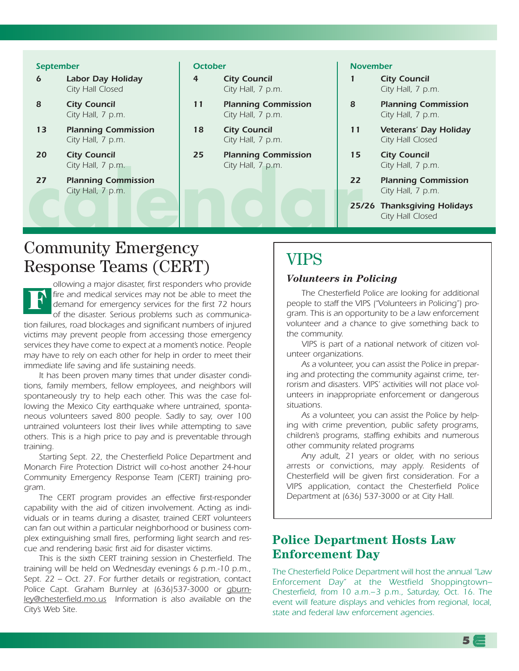#### *September*

- *6 Labor Day Holiday City Hall Closed*
- *8 City Council City Hall, 7 p.m.*
- *13 Planning Commission City Hall, 7 p.m.*
- *20 City Council City Hall, 7 p.m.*
- 27 Planning Commission<br>City Hall, 7 p.m.<br>25/ *27 Planning Commission City Hall, 7 p.m.*

#### *October*

- *4 City Council City Hall, 7 p.m.*
- *11 Planning Commission City Hall, 7 p.m.*
- *18 City Council City Hall, 7 p.m.*
- *25 Planning Commission City Hall, 7 p.m.*

#### *November*

- *1 City Council City Hall, 7 p.m.*
- *8 Planning Commission City Hall, 7 p.m.*
- *11 Veterans' Day Holiday City Hall Closed*
- *15 City Council City Hall, 7 p.m.*
- *22 Planning Commission City Hall, 7 p.m.*

*25/26 Thanksgiving Holidays City Hall Closed*

## Community Emergency Response Teams (CERT)

*ollowing a major disaster, first responders who provide fire and medical services may not be able to meet the demand for emergency services for the first 72 hours of the disaster. Serious problems such as communication failures, road blockages and significant numbers of injured victims may prevent people from accessing those emergency services they have come to expect at a moment's notice. People may have to rely on each other for help in order to meet their immediate life saving and life sustaining needs.*  **F**

*It has been proven many times that under disaster conditions, family members, fellow employees, and neighbors will spontaneously try to help each other. This was the case following the Mexico City earthquake where untrained, spontaneous volunteers saved 800 people. Sadly to say, over 100 untrained volunteers lost their lives while attempting to save others. This is a high price to pay and is preventable through training.*

*Starting Sept. 22, the Chesterfield Police Department and Monarch Fire Protection District will co-host another 24-hour Community Emergency Response Team (CERT) training program.* 

*The CERT program provides an effective first-responder capability with the aid of citizen involvement. Acting as individuals or in teams during a disaster, trained CERT volunteers can fan out within a particular neighborhood or business complex extinguishing small fires, performing light search and rescue and rendering basic first aid for disaster victims.*

*This is the sixth CERT training session in Chesterfield. The training will be held on Wednesday evenings 6 p.m.-10 p.m., Sept. 22 – Oct. 27. For further details or registration, contact Police Capt. Graham Burnley at (636)537-3000 or gburnley@chesterfield.mo.us Information is also available on the City's Web Site.*

## VIPS

### *Volunteers in Policing*

*The Chesterfield Police are looking for additional people to staff the VIPS ("Volunteers in Policing") program. This is an opportunity to be a law enforcement volunteer and a chance to give something back to the community.*

*VIPS is part of a national network of citizen volunteer organizations.*

*As a volunteer, you can assist the Police in preparing and protecting the community against crime, terrorism and disasters. VIPS' activities will not place volunteers in inappropriate enforcement or dangerous situations.*

*As a volunteer, you can assist the Police by helping with crime prevention, public safety programs, children's programs, staffing exhibits and numerous other community related programs*

*Any adult, 21 years or older, with no serious arrests or convictions, may apply. Residents of Chesterfield will be given first consideration. For a VIPS application, contact the Chesterfield Police Department at (636) 537-3000 or at City Hall.*

## **Police Department Hosts Law Enforcement Day**

*The Chesterfield Police Department will host the annual "Law Enforcement Day" at the Westfield Shoppingtown– Chesterfield, from 10 a.m.–3 p.m., Saturday, Oct. 16. The event will feature displays and vehicles from regional, local, state and federal law enforcement agencies.*

**5**